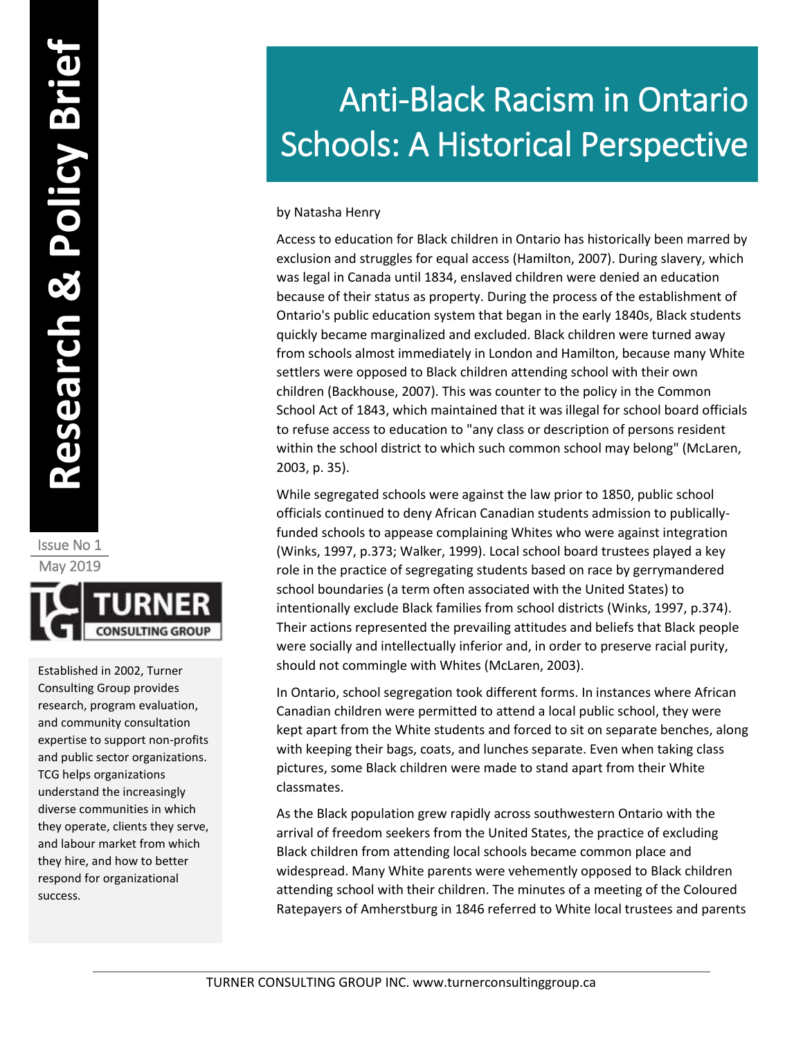by Natasha Henry

Access to education for Black children in Ontario has historically been marred by exclusion and struggles for equal access (Hamilton, 2007). During slavery, which was legal in Canada until 1834, enslaved children were denied an education because of their status as property. During the process of the establishment of Ontario's public education system that began in the early 1840s, Black students quickly became marginalized and excluded. Black children were turned away from schools almost immediately in London and Hamilton, because many White settlers were opposed to Black children attending school with their own children (Backhouse, 2007). This was counter to the policy in the Common School Act of 1843, which maintained that it was illegal for school board officials to refuse access to education to "any class or description of persons resident within the school district to which such common school may belong" (McLaren, 2003, p. 35).

While segregated schools were against the law prior to 1850, public school officials continued to deny African Canadian students admission to publicallyfunded schools to appease complaining Whites who were against integration (Winks, 1997, p.373; Walker, 1999). Local school board trustees played a key role in the practice of segregating students based on race by gerrymandered school boundaries (a term often associated with the United States) to intentionally exclude Black families from school districts (Winks, 1997, p.374). Their actions represented the prevailing attitudes and beliefs that Black people were socially and intellectually inferior and, in order to preserve racial purity, should not commingle with Whites (McLaren, 2003).

In Ontario, school segregation took different forms. In instances where African Canadian children were permitted to attend a local public school, they were kept apart from the White students and forced to sit on separate benches, along with keeping their bags, coats, and lunches separate. Even when taking class pictures, some Black children were made to stand apart from their White classmates.

As the Black population grew rapidly across southwestern Ontario with the arrival of freedom seekers from the United States, the practice of excluding Black children from attending local schools became common place and widespread. Many White parents were vehemently opposed to Black children attending school with their children. The minutes of a meeting of the Coloured Ratepayers of Amherstburg in 1846 referred to White local trustees and parents

Issue No 1 May 2019



Established in 2002, Turner Consulting Group provides research, program evaluation, and community consultation expertise to support non-profits and public sector organizations. TCG helps organizations understand the increasingly diverse communities in which they operate, clients they serve, and labour market from which they hire, and how to better respond for organizational success.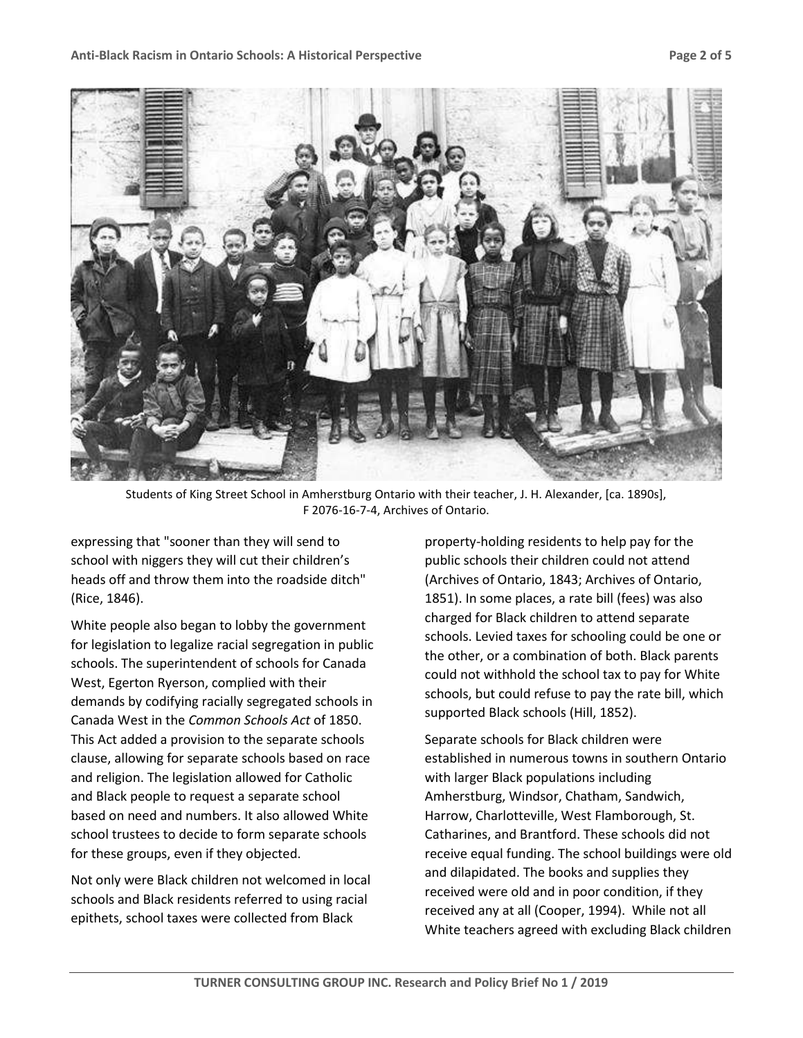

Students of King Street School in Amherstburg Ontario with their teacher, J. H. Alexander, [ca. 1890s], F 2076-16-7-4, Archives of Ontario.

expressing that "sooner than they will send to school with niggers they will cut their children's heads off and throw them into the roadside ditch" (Rice, 1846).

White people also began to lobby the government for legislation to legalize racial segregation in public schools. The superintendent of schools for Canada West, Egerton Ryerson, complied with their demands by codifying racially segregated schools in Canada West in the *Common Schools Act* of 1850. This Act added a provision to the separate schools clause, allowing for separate schools based on race and religion. The legislation allowed for Catholic and Black people to request a separate school based on need and numbers. It also allowed White school trustees to decide to form separate schools for these groups, even if they objected.

Not only were Black children not welcomed in local schools and Black residents referred to using racial epithets, school taxes were collected from Black

property-holding residents to help pay for the public schools their children could not attend (Archives of Ontario, 1843; Archives of Ontario, 1851). In some places, a rate bill (fees) was also charged for Black children to attend separate schools. Levied taxes for schooling could be one or the other, or a combination of both. Black parents could not withhold the school tax to pay for White schools, but could refuse to pay the rate bill, which supported Black schools (Hill, 1852).

Separate schools for Black children were established in numerous towns in southern Ontario with larger Black populations including Amherstburg, Windsor, Chatham, Sandwich, Harrow, Charlotteville, West Flamborough, St. Catharines, and Brantford. These schools did not receive equal funding. The school buildings were old and dilapidated. The books and supplies they received were old and in poor condition, if they received any at all (Cooper, 1994). While not all White teachers agreed with excluding Black children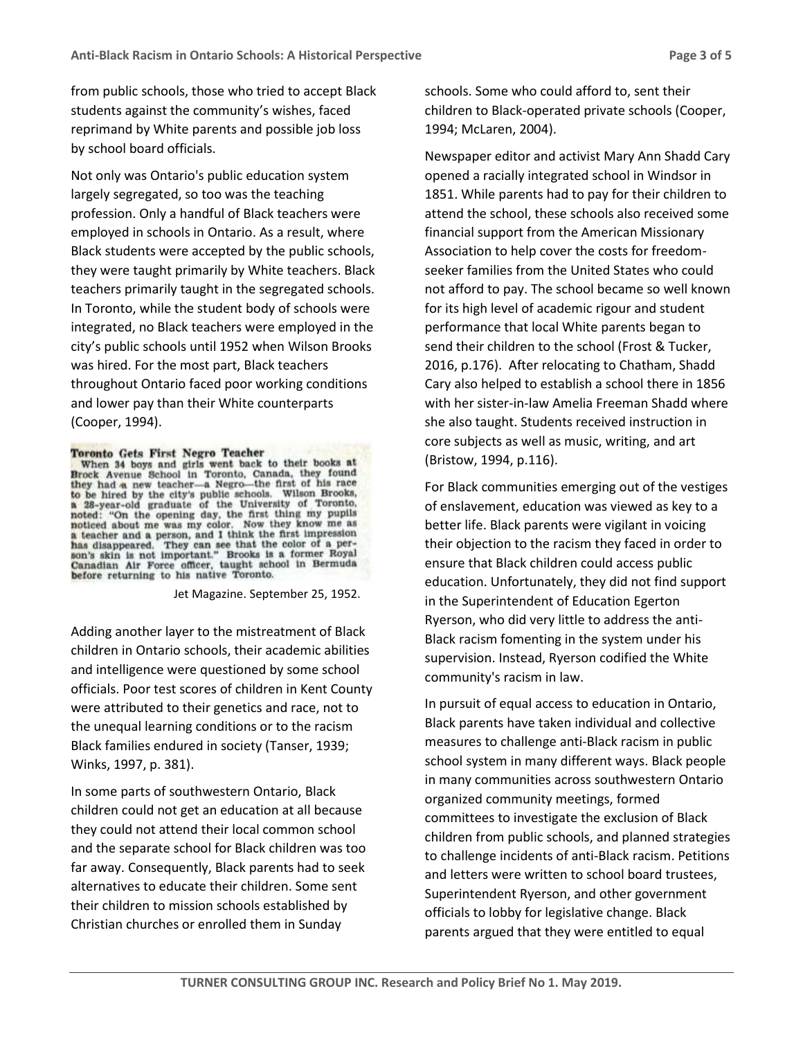from public schools, those who tried to accept Black students against the community's wishes, faced reprimand by White parents and possible job loss by school board officials.

Not only was Ontario's public education system largely segregated, so too was the teaching profession. Only a handful of Black teachers were employed in schools in Ontario. As a result, where Black students were accepted by the public schools, they were taught primarily by White teachers. Black teachers primarily taught in the segregated schools. In Toronto, while the student body of schools were integrated, no Black teachers were employed in the city's public schools until 1952 when Wilson Brooks was hired. For the most part, Black teachers throughout Ontario faced poor working conditions and lower pay than their White counterparts (Cooper, 1994).

## Toronto Gets First Negro Teacher

When 34 boys and girls went back to their books at<br>Brock Avenue School in Toronto, Canada, they found<br>they had a new teacher—a Negro—the first of his race to be hired by the city's public schools. Wilson Brooks, a 28-year-old graduate of the University of Toronto. a 28-year-old graduate of the University of Toronto,<br>noted: "On the opening day, the first thing my pupils<br>noticed about me was my color. Now they know me as<br>a teacher and a person, and I think the first impression<br>has dis before returning to his native Toronto.

Jet Magazine. September 25, 1952.

Adding another layer to the mistreatment of Black children in Ontario schools, their academic abilities and intelligence were questioned by some school officials. Poor test scores of children in Kent County were attributed to their genetics and race, not to the unequal learning conditions or to the racism Black families endured in society (Tanser, 1939; Winks, 1997, p. 381).

In some parts of southwestern Ontario, Black children could not get an education at all because they could not attend their local common school and the separate school for Black children was too far away. Consequently, Black parents had to seek alternatives to educate their children. Some sent their children to mission schools established by Christian churches or enrolled them in Sunday

schools. Some who could afford to, sent their children to Black-operated private schools (Cooper, 1994; McLaren, 2004).

Newspaper editor and activist Mary Ann Shadd Cary opened a racially integrated school in Windsor in 1851. While parents had to pay for their children to attend the school, these schools also received some financial support from the American Missionary Association to help cover the costs for freedomseeker families from the United States who could not afford to pay. The school became so well known for its high level of academic rigour and student performance that local White parents began to send their children to the school (Frost & Tucker, 2016, p.176). After relocating to Chatham, Shadd Cary also helped to establish a school there in 1856 with her sister-in-law Amelia Freeman Shadd where she also taught. Students received instruction in core subjects as well as music, writing, and art (Bristow, 1994, p.116).

For Black communities emerging out of the vestiges of enslavement, education was viewed as key to a better life. Black parents were vigilant in voicing their objection to the racism they faced in order to ensure that Black children could access public education. Unfortunately, they did not find support in the Superintendent of Education Egerton Ryerson, who did very little to address the anti-Black racism fomenting in the system under his supervision. Instead, Ryerson codified the White community's racism in law.

In pursuit of equal access to education in Ontario, Black parents have taken individual and collective measures to challenge anti-Black racism in public school system in many different ways. Black people in many communities across southwestern Ontario organized community meetings, formed committees to investigate the exclusion of Black children from public schools, and planned strategies to challenge incidents of anti-Black racism. Petitions and letters were written to school board trustees, Superintendent Ryerson, and other government officials to lobby for legislative change. Black parents argued that they were entitled to equal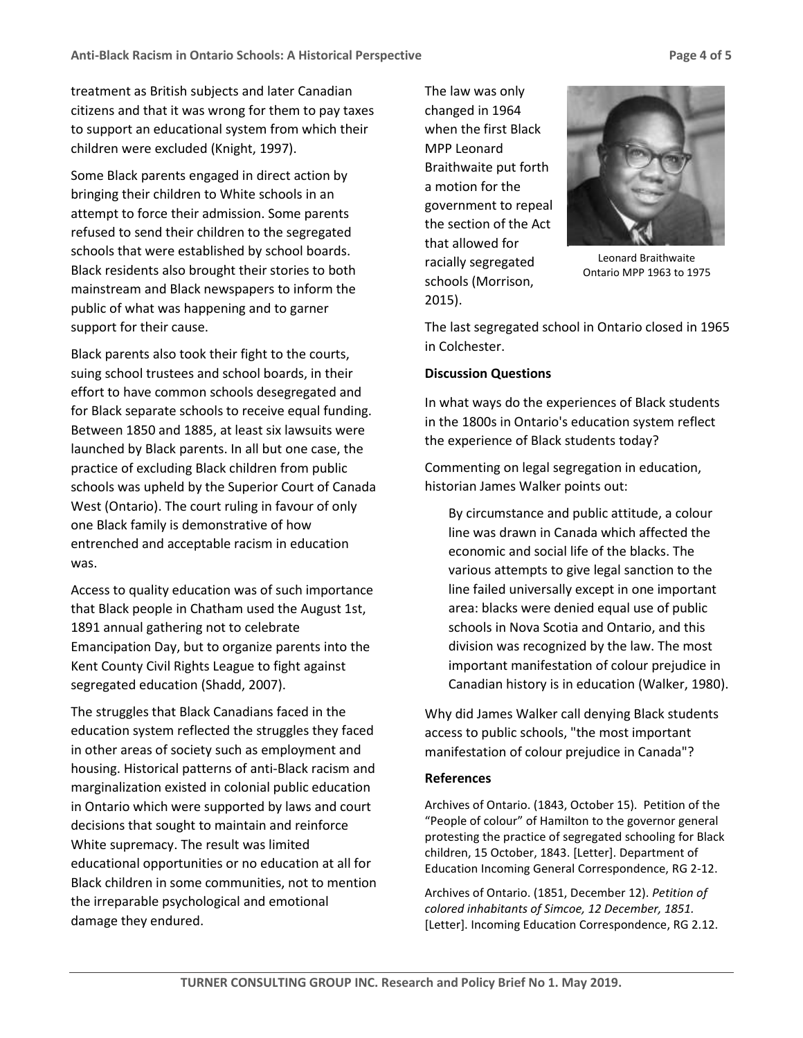treatment as British subjects and later Canadian citizens and that it was wrong for them to pay taxes to support an educational system from which their children were excluded (Knight, 1997).

Some Black parents engaged in direct action by bringing their children to White schools in an attempt to force their admission. Some parents refused to send their children to the segregated schools that were established by school boards. Black residents also brought their stories to both mainstream and Black newspapers to inform the public of what was happening and to garner support for their cause.

Black parents also took their fight to the courts, suing school trustees and school boards, in their effort to have common schools desegregated and for Black separate schools to receive equal funding. Between 1850 and 1885, at least six lawsuits were launched by Black parents. In all but one case, the practice of excluding Black children from public schools was upheld by the Superior Court of Canada West (Ontario). The court ruling in favour of only one Black family is demonstrative of how entrenched and acceptable racism in education was.

Access to quality education was of such importance that Black people in Chatham used the August 1st, 1891 annual gathering not to celebrate Emancipation Day, but to organize parents into the Kent County Civil Rights League to fight against segregated education (Shadd, 2007).

The struggles that Black Canadians faced in the education system reflected the struggles they faced in other areas of society such as employment and housing. Historical patterns of anti-Black racism and marginalization existed in colonial public education in Ontario which were supported by laws and court decisions that sought to maintain and reinforce White supremacy. The result was limited educational opportunities or no education at all for Black children in some communities, not to mention the irreparable psychological and emotional damage they endured.

The law was only changed in 1964 when the first Black MPP Leonard Braithwaite put forth a motion for the government to repeal the section of the Act that allowed for racially segregated schools (Morrison, 2015).



Leonard Braithwaite Ontario MPP 1963 to 1975

The last segregated school in Ontario closed in 1965 in Colchester.

## **Discussion Questions**

In what ways do the experiences of Black students in the 1800s in Ontario's education system reflect the experience of Black students today?

Commenting on legal segregation in education, historian James Walker points out:

By circumstance and public attitude, a colour line was drawn in Canada which affected the economic and social life of the blacks. The various attempts to give legal sanction to the line failed universally except in one important area: blacks were denied equal use of public schools in Nova Scotia and Ontario, and this division was recognized by the law. The most important manifestation of colour prejudice in Canadian history is in education (Walker, 1980).

Why did James Walker call denying Black students access to public schools, "the most important manifestation of colour prejudice in Canada"?

## **References**

Archives of Ontario. (1843, October 15). Petition of the "People of colour" of Hamilton to the governor general protesting the practice of segregated schooling for Black children, 15 October, 1843. [Letter]. Department of Education Incoming General Correspondence, RG 2-12.

Archives of Ontario. (1851, December 12). *Petition of colored inhabitants of Simcoe, 12 December, 1851.* [Letter]. Incoming Education Correspondence, RG 2.12.